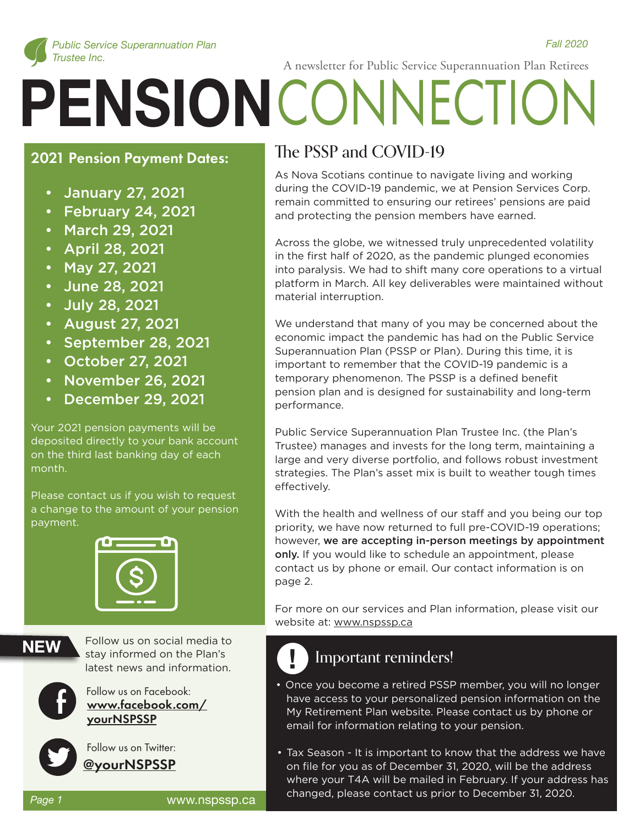

 *Fall 2020* 

A newsletter for Public Service Superannuation Plan Retirees

# **PENSION** CONNECTION

#### **2021 Pension Payment Dates:**

- January 27, 2021
- February 24, 2021
- March 29, 2021
- April 28, 2021
- May 27, 2021
- June 28, 2021
- July 28, 2021
- August 27, 2021
- September 28, 2021
- October 27, 2021
- November 26, 2021
- December 29, 2021

Your 2021 pension payments will be deposited directly to your bank account on the third last banking day of each month.

Please contact us if you wish to request a change to the amount of your pension payment.



**NEW**

Follow us on social media to stay informed on the Plan's latest news and information.

Follow us on Facebook: www.facebook.com/ yourNSPSSP



 Follow us on Twitter: @yourNSPSSP

### The PSSP and COVID-19

As Nova Scotians continue to navigate living and working during the COVID-19 pandemic, we at Pension Services Corp. remain committed to ensuring our retirees' pensions are paid and protecting the pension members have earned.

Across the globe, we witnessed truly unprecedented volatility in the first half of 2020, as the pandemic plunged economies into paralysis. We had to shift many core operations to a virtual platform in March. All key deliverables were maintained without material interruption.

We understand that many of you may be concerned about the economic impact the pandemic has had on the Public Service Superannuation Plan (PSSP or Plan). During this time, it is important to remember that the COVID-19 pandemic is a temporary phenomenon. The PSSP is a defined benefit pension plan and is designed for sustainability and long-term performance.

Public Service Superannuation Plan Trustee Inc. (the Plan's Trustee) manages and invests for the long term, maintaining a large and very diverse portfolio, and follows robust investment strategies. The Plan's asset mix is built to weather tough times effectively.

With the health and wellness of our staff and you being our top priority, we have now returned to full pre-COVID-19 operations; however, we are accepting in-person meetings by appointment only. If you would like to schedule an appointment, please contact us by phone or email. Our contact information is on page 2.

For more on our services and Plan information, please visit our website at: www.nspssp.ca

## **!** Important reminders!

- Follow us on Facebook:<br>
Follow us on Facebook.com/
have access to your personalized pension information on the<br>
My Retirement Plan website. Please contact us by phone or have access to your personalized pension information on the My Retirement Plan website. Please contact us by phone or email for information relating to your pension.
	- Tax Season It is important to know that the address we have on file for you as of December 31, 2020, will be the address where your T4A will be mailed in February. If your address has changed, please contact us prior to December 31, 2020.